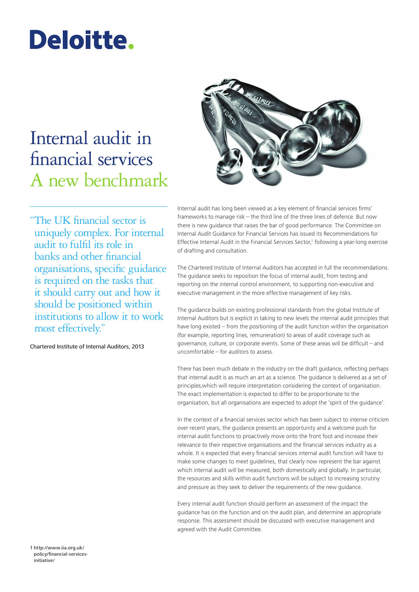# Deloitte.

## Internal audit in financial services A new benchmark



"The UK financial sector is uniquely complex. For internal audit to fulfil its role in banks and other financial organisations, specific guidance is required on the tasks that it should carry out and how it should be positioned within institutions to allow it to work most effectively."

Chartered Institute of Internal Auditors, 2013

Internal audit has long been viewed as a key element of financial services firms' frameworks to manage risk – the third line of the three lines of defence. But now there is new guidance that raises the bar of good performance. The Committee on Internal Audit Guidance for Financial Services has issued its Recommendations for Effective Internal Audit in the Financial Services Sector,<sup>1</sup> following a year-long exercise of drafting and consultation.

The Chartered Institute of Internal Auditors has accepted in full the recommendations. The guidance seeks to reposition the focus of internal audit, from testing and reporting on the internal control environment, to supporting non‑executive and executive management in the more effective management of key risks.

The guidance builds on existing professional standards from the global Institute of Internal Auditors but is explicit in taking to new levels the internal audit principles that have long existed – from the positioning of the audit function within the organisation (for example, reporting lines, remuneration) to areas of audit coverage such as governance, culture, or corporate events. Some of these areas will be difficult – and uncomfortable – for auditors to assess.

There has been much debate in the industry on the draft guidance, reflecting perhaps that internal audit is as much an art as a science. The guidance is delivered as a set of principles,which will require interpretation considering the context of organisation. The exact implementation is expected to differ to be proportionate to the organisation, but all organisations are expected to adopt the 'spirit of the guidance'.

In the context of a financial services sector which has been subject to intense criticism over recent years, the guidance presents an opportunity and a welcome push for internal audit functions to proactively move onto the front foot and increase their relevance to their respective organisations and the financial services industry as a whole. It is expected that every financial services internal audit function will have to make some changes to meet guidelines, that clearly now represent the bar against which internal audit will be measured, both domestically and globally. In particular, the resources and skills within audit functions will be subject to increasing scrutiny and pressure as they seek to deliver the requirements of the new guidance.

Every internal audit function should perform an assessment of the impact the guidance has on the function and on the audit plan, and determine an appropriate response. This assessment should be discussed with executive management and agreed with the Audit Committee.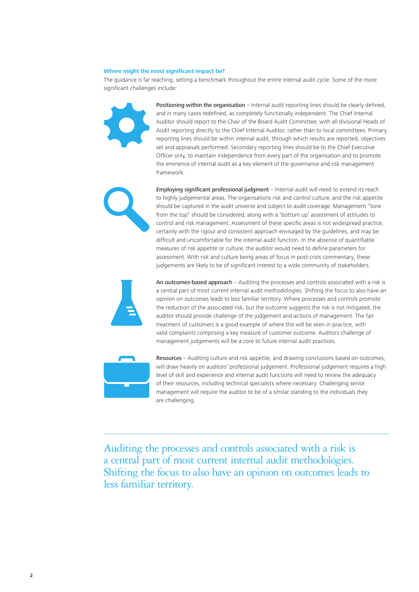#### **Where might the most significant impact be?**

The guidance is far reaching, setting a benchmark throughout the entire internal audit cycle. Some of the more significant challenges include:

> Positioning within the organisation – Internal audit reporting lines should be clearly defined, and in many cases redefined, as completely functionally independent. The Chief Internal Auditor should report to the Chair of the Board Audit Committee, with all divisional Heads of Audit reporting directly to the Chief Internal Auditor, rather than to local committees. Primary reporting lines should be within internal audit, through which results are reported, objectives set and appraisals performed. Secondary reporting lines should be to the Chief Executive Officer only, to maintain independence from every part of the organisation and to promote the eminence of internal audit as a key element of the governance and risk management framework.

Employing significant professional judgment – Internal audit will need to extend its reach to highly judgemental areas. The organisations risk and control culture, and the risk appetite should be captured in the audit universe and subject to audit coverage. Management "tone from the top" should be considered, along with a 'bottom up' assessment of attitudes to control and risk management. Assessment of these specific areas is not widespread practice, certainly with the rigour and consistent approach envisaged by the guidelines, and may be difficult and uncomfortable for the internal audit function. In the absence of quantifiable measures of risk appetite or culture, the auditor would need to define parameters for assessment. With risk and culture being areas of focus in post-crisis commentary, these judgements are likely to be of significant interest to a wide community of stakeholders.

An outcomes-based approach – Auditing the processes and controls associated with a risk is a central part of most current internal audit methodologies. Shifting the focus to also have an opinion on outcomes leads to less familiar territory. Where processes and controls promote the reduction of the associated risk, but the outcome suggests the risk is not mitigated, the auditor should provide challenge of the judgement and actions of management. The fair treatment of customers is a good example of where this will be seen in practice, with valid complaints comprising a key measure of customer outcome. Auditors challenge of management judgements will be a core to future internal audit practices.



Resources – Auditing culture and risk appetite, and drawing conclusions based on outcomes, will draw heavily on auditors' professional judgement. Professional judgement requires a high level of skill and experience and internal audit functions will need to review the adequacy of their resources, including technical specialists where necessary. Challenging senior management will require the auditor to be of a similar standing to the individuals they are challenging.

Auditing the processes and controls associated with a risk is a central part of most current internal audit methodologies. Shifting the focus to also have an opinion on outcomes leads to less familiar territory.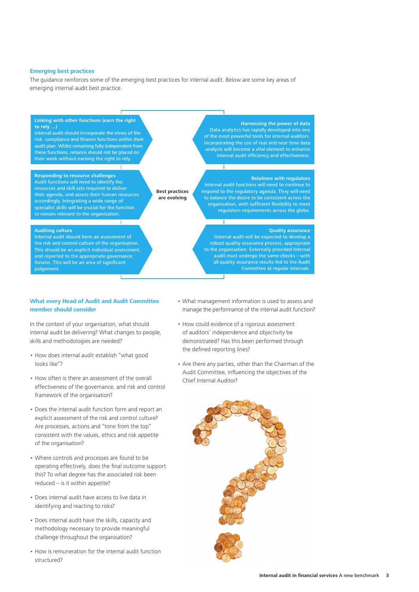#### **Emerging best practices**

The guidance reinforces some of the emerging best practices for internal audit. Below are some key areas of emerging internal audit best practice.



#### **What every Head of Audit and Audit Committee member should consider**

In the context of your organisation, what should internal audit be delivering? What changes to people, skills and methodologies are needed?

- • How does internal audit establish "what good looks like"?
- How often is there an assessment of the overall effectiveness of the governance, and risk and control framework of the organisation?
- Does the internal audit function form and report an explicit assessment of the risk and control culture? Are processes, actions and "tone from the top" consistent with the values, ethics and risk appetite of the organisation?
- • Where controls and processes are found to be operating effectively, does the final outcome support this? To what degree has the associated risk been reduced – is it within appetite?
- Does internal audit have access to live data in identifying and reacting to risks?
- • Does internal audit have the skills, capacity and methodology necessary to provide meaningful challenge throughout the organisation?
- How is remuneration for the internal audit function structured?
- • What management information is used to assess and manage the performance of the internal audit function?
- How could evidence of a rigorous assessment of auditors' independence and objectivity be demonstrated? Has this been performed through the defined reporting lines?
- Are there any parties, other than the Chairman of the Audit Committee, influencing the objectives of the Chief Internal Auditor?